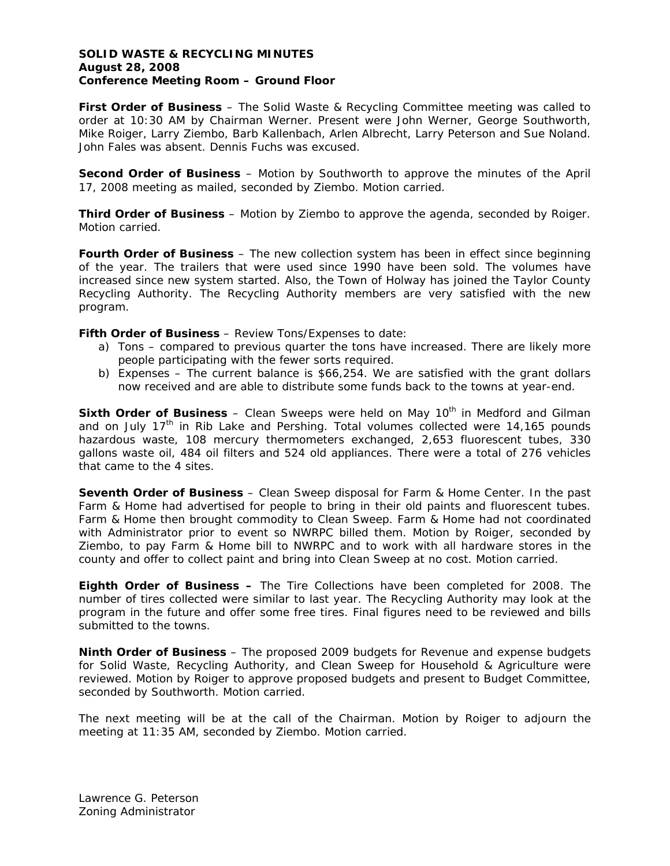## **SOLID WASTE & RECYCLING MINUTES August 28, 2008 Conference Meeting Room – Ground Floor**

**First Order of Business** – The Solid Waste & Recycling Committee meeting was called to order at 10:30 AM by Chairman Werner. Present were John Werner, George Southworth, Mike Roiger, Larry Ziembo, Barb Kallenbach, Arlen Albrecht, Larry Peterson and Sue Noland. John Fales was absent. Dennis Fuchs was excused.

**Second Order of Business** – Motion by Southworth to approve the minutes of the April 17, 2008 meeting as mailed, seconded by Ziembo. Motion carried.

**Third Order of Business** – Motion by Ziembo to approve the agenda, seconded by Roiger. Motion carried.

**Fourth Order of Business** – The new collection system has been in effect since beginning of the year. The trailers that were used since 1990 have been sold. The volumes have increased since new system started. Also, the Town of Holway has joined the Taylor County Recycling Authority. The Recycling Authority members are very satisfied with the new program.

**Fifth Order of Business - Review Tons/Expenses to date:** 

- a) Tons compared to previous quarter the tons have increased. There are likely more people participating with the fewer sorts required.
- b) Expenses The current balance is \$66,254. We are satisfied with the grant dollars now received and are able to distribute some funds back to the towns at year-end.

**Sixth Order of Business** – Clean Sweeps were held on May 10<sup>th</sup> in Medford and Gilman and on July  $17<sup>th</sup>$  in Rib Lake and Pershing. Total volumes collected were 14,165 pounds hazardous waste, 108 mercury thermometers exchanged, 2,653 fluorescent tubes, 330 gallons waste oil, 484 oil filters and 524 old appliances. There were a total of 276 vehicles that came to the 4 sites.

**Seventh Order of Business** – Clean Sweep disposal for Farm & Home Center. In the past Farm & Home had advertised for people to bring in their old paints and fluorescent tubes. Farm & Home then brought commodity to Clean Sweep. Farm & Home had not coordinated with Administrator prior to event so NWRPC billed them. Motion by Roiger, seconded by Ziembo, to pay Farm & Home bill to NWRPC and to work with all hardware stores in the county and offer to collect paint and bring into Clean Sweep at no cost. Motion carried.

**Eighth Order of Business –** The Tire Collections have been completed for 2008. The number of tires collected were similar to last year. The Recycling Authority may look at the program in the future and offer some free tires. Final figures need to be reviewed and bills submitted to the towns.

**Ninth Order of Business** – The proposed 2009 budgets for Revenue and expense budgets for Solid Waste, Recycling Authority, and Clean Sweep for Household & Agriculture were reviewed. Motion by Roiger to approve proposed budgets and present to Budget Committee, seconded by Southworth. Motion carried.

The next meeting will be at the call of the Chairman. Motion by Roiger to adjourn the meeting at 11:35 AM, seconded by Ziembo. Motion carried.